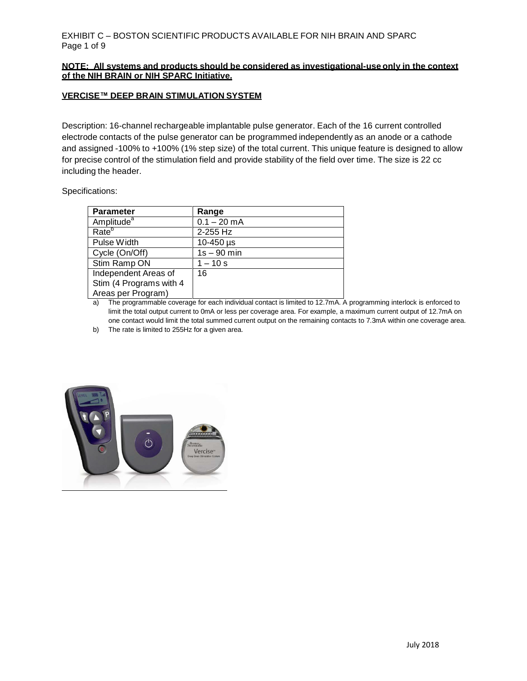#### **NOTE: All systems and products should be considered as investigational-use only in the context of the NIH BRAIN or NIH SPARC Initiative.**

#### **VERCISE™ DEEP BRAIN STIMULATION SYSTEM**

Description: 16-channel rechargeable implantable pulse generator. Each of the 16 current controlled electrode contacts of the pulse generator can be programmed independently as an anode or a cathode and assigned -100% to +100% (1% step size) of the total current. This unique feature is designed to allow for precise control of the stimulation field and provide stability of the field over time. The size is 22 cc including the header.

#### Specifications:

| <b>Parameter</b>        | Range         |
|-------------------------|---------------|
| Amplitude <sup>a</sup>  | $0.1 - 20$ mA |
| Rate <sup>b</sup>       | 2-255 Hz      |
| Pulse Width             | 10-450 µs     |
| Cycle (On/Off)          | $1s - 90$ min |
| Stim Ramp ON            | $-10 s$       |
| Independent Areas of    | 16            |
| Stim (4 Programs with 4 |               |
| Areas per Program)      |               |

a) The programmable coverage for each individual contact is limited to 12.7mA. A programming interlock is enforced to limit the total output current to 0mA or less per coverage area. For example, a maximum current output of 12.7mA on one contact would limit the total summed current output on the remaining contacts to 7.3mA within one coverage area.

b) The rate is limited to 255Hz for a given area.

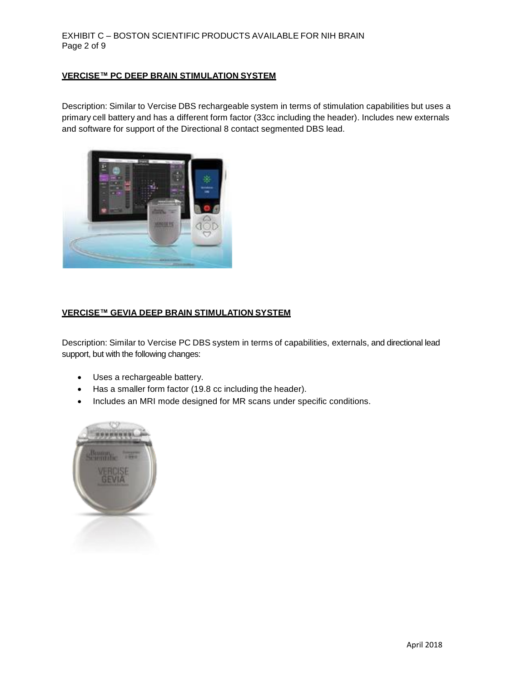# EXHIBIT C – BOSTON SCIENTIFIC PRODUCTS AVAILABLE FOR NIH BRAIN Page 2 of 9

# **VERCISE™ PC DEEP BRAIN STIMULATION SYSTEM**

Description: Similar to Vercise DBS rechargeable system in terms of stimulation capabilities but uses a primary cell battery and has a different form factor (33cc including the header). Includes new externals and software for support of the Directional 8 contact segmented DBS lead.



#### **VERCISE™ GEVIA DEEP BRAIN STIMULATION SYSTEM**

Description: Similar to Vercise PC DBS system in terms of capabilities, externals, and directional lead support, but with the following changes:

- Uses a rechargeable battery.
- Has a smaller form factor (19.8 cc including the header).
- Includes an MRI mode designed for MR scans under specific conditions.

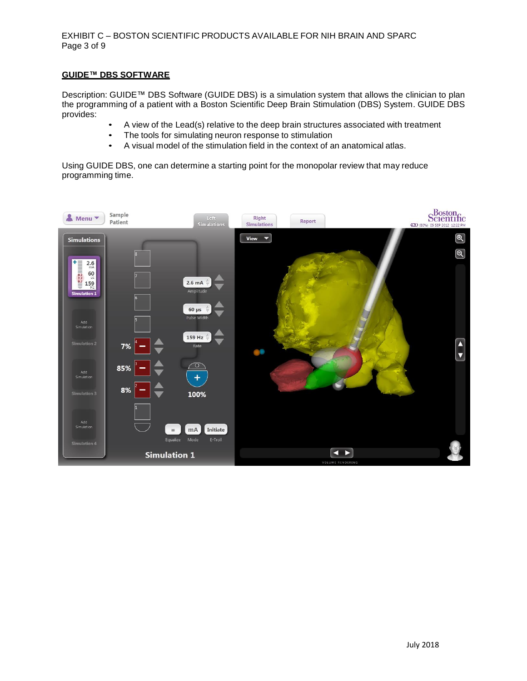#### EXHIBIT C – BOSTON SCIENTIFIC PRODUCTS AVAILABLE FOR NIH BRAIN AND SPARC Page 3 of 9

## **GUIDE™ DBS SOFTWARE**

Description: GUIDE™ DBS Software (GUIDE DBS) is a simulation system that allows the clinician to plan the programming of a patient with a Boston Scientific Deep Brain Stimulation (DBS) System. GUIDE DBS provides:

- A view of the Lead(s) relative to the deep brain structures associated with treatment
- The tools for simulating neuron response to stimulation
- A visual model of the stimulation field in the context of an anatomical atlas.

Using GUIDE DBS, one can determine a starting point for the monopolar review that may reduce programming time.

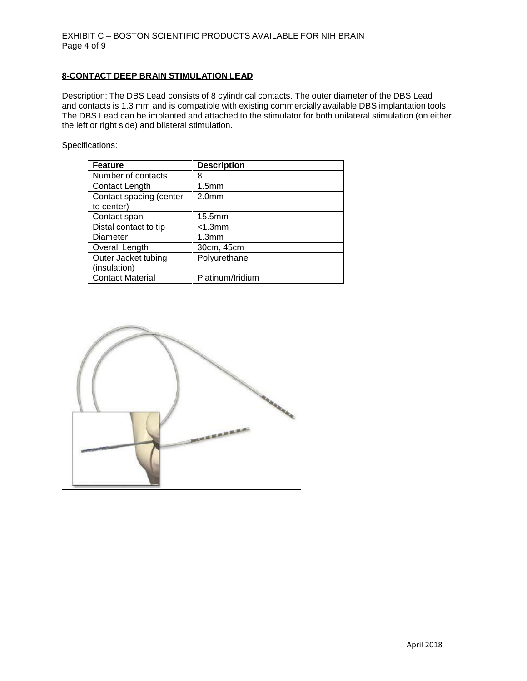#### **8-CONTACT DEEP BRAIN STIMULATION LEAD**

Description: The DBS Lead consists of 8 cylindrical contacts. The outer diameter of the DBS Lead and contacts is 1.3 mm and is compatible with existing commercially available DBS implantation tools. The DBS Lead can be implanted and attached to the stimulator for both unilateral stimulation (on either the left or right side) and bilateral stimulation.

Specifications:

| <b>Feature</b>          | <b>Description</b> |
|-------------------------|--------------------|
| Number of contacts      | 8                  |
| Contact Length          | 1.5 <sub>mm</sub>  |
| Contact spacing (center | 2.0 <sub>mm</sub>  |
| to center)              |                    |
| Contact span            | 15.5mm             |
| Distal contact to tip   | $<$ 1.3 $mm$       |
| Diameter                | 1.3 <sub>mm</sub>  |
| Overall Length          | 30cm, 45cm         |
| Outer Jacket tubing     | Polyurethane       |
| (insulation)            |                    |
| <b>Contact Material</b> | Platinum/Iridium   |

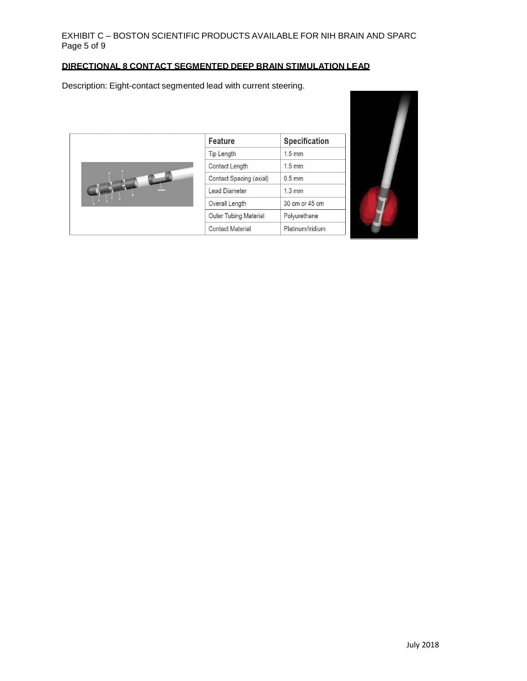# EXHIBIT C – BOSTON SCIENTIFIC PRODUCTS AVAILABLE FOR NIH BRAIN AND SPARC Page 5 of 9

# **DIRECTIONAL 8 CONTACT SEGMENTED DEEP BRAIN STIMULATION LEAD**

Description: Eight-contact segmented lead with current steering.



| Feature                      | Specification    |
|------------------------------|------------------|
| <b>Tip Length</b>            | $1.5$ mm         |
| Contact Length               | $1.5$ mm         |
| Contact Spacing (axial)      | $0.5$ mm         |
| <b>Lead Diameter</b>         | $1.3 \text{ mm}$ |
| Overall Length               | 30 cm or 45 cm   |
| <b>Outer Tubing Material</b> | Polyurethane     |
| <b>Contact Material</b>      | Platinum/Iridium |

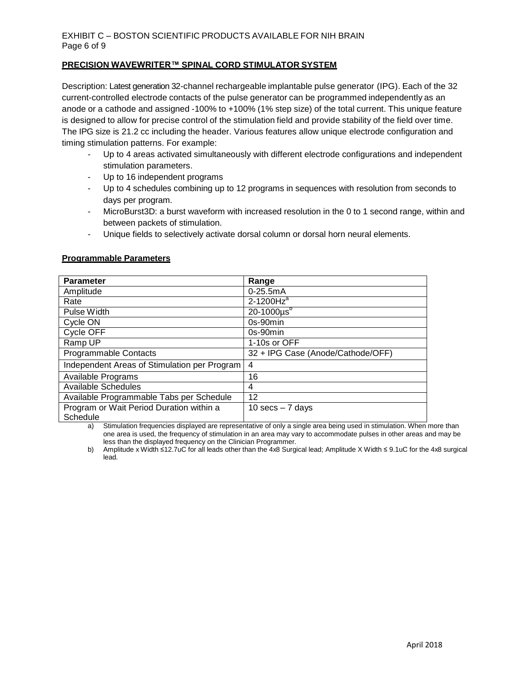#### **PRECISION WAVEWRITER™ SPINAL CORD STIMULATOR SYSTEM**

Description: Latest generation 32-channel rechargeable implantable pulse generator (IPG). Each of the 32 current-controlled electrode contacts of the pulse generator can be programmed independently as an anode or a cathode and assigned -100% to +100% (1% step size) of the total current. This unique feature is designed to allow for precise control of the stimulation field and provide stability of the field over time. The IPG size is 21.2 cc including the header. Various features allow unique electrode configuration and timing stimulation patterns. For example:

- Up to 4 areas activated simultaneously with different electrode configurations and independent stimulation parameters.
- Up to 16 independent programs
- Up to 4 schedules combining up to 12 programs in sequences with resolution from seconds to days per program.
- MicroBurst3D: a burst waveform with increased resolution in the 0 to 1 second range, within and between packets of stimulation.
- Unique fields to selectively activate dorsal column or dorsal horn neural elements.

| <b>Parameter</b>                                     | Range                             |
|------------------------------------------------------|-----------------------------------|
| Amplitude                                            | $0 - 25.5$ m $A$                  |
| Rate                                                 | $2-1200Hza$                       |
| Pulse Width                                          | $20 - 1000 \mu s^{b}$             |
| Cycle ON                                             | $0s-90min$                        |
| Cycle OFF                                            | $0s-90min$                        |
| Ramp UP                                              | 1-10s or OFF                      |
| <b>Programmable Contacts</b>                         | 32 + IPG Case (Anode/Cathode/OFF) |
| Independent Areas of Stimulation per Program         | 4                                 |
| Available Programs                                   | 16                                |
| Available Schedules                                  | 4                                 |
| Available Programmable Tabs per Schedule             | 12                                |
| Program or Wait Period Duration within a<br>Schedule | 10 $secs - 7$ days                |

#### **Programmable Parameters**

a) Stimulation frequencies displayed are representative of only a single area being used in stimulation. When more than one area is used, the frequency of stimulation in an area may vary to accommodate pulses in other areas and may be less than the displayed frequency on the Clinician Programmer.

b) Amplitude x Width ≤12.7uC for all leads other than the 4x8 Surgical lead; Amplitude X Width ≤ 9.1uC for the 4x8 surgical lead.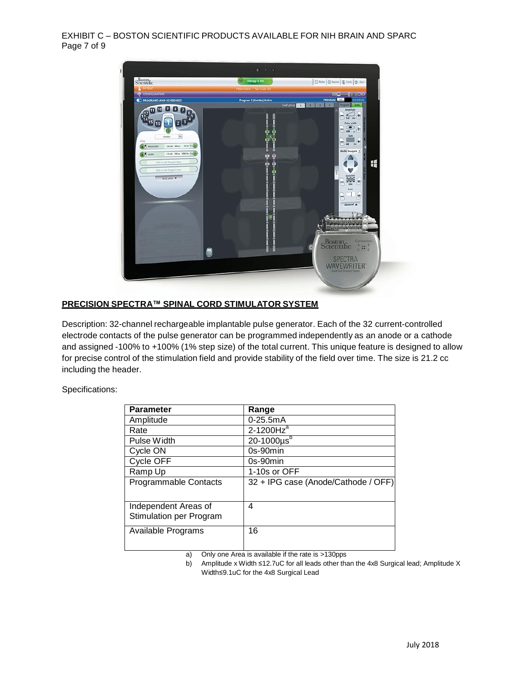EXHIBIT C – BOSTON SCIENTIFIC PRODUCTS AVAILABLE FOR NIH BRAIN AND SPARC Page 7 of 9



#### **PRECISION SPECTRA™ SPINAL CORD STIMULATOR SYSTEM**

Description: 32-channel rechargeable implantable pulse generator. Each of the 32 current-controlled electrode contacts of the pulse generator can be programmed independently as an anode or a cathode and assigned -100% to +100% (1% step size) of the total current. This unique feature is designed to allow for precise control of the stimulation field and provide stability of the field over time. The size is 21.2 cc including the header.

Specifications:

| <b>Parameter</b>                                       | Range                               |
|--------------------------------------------------------|-------------------------------------|
| Amplitude                                              | $0 - 25.5$ m $A$                    |
| Rate                                                   | $2-1200Hza$                         |
| Pulse Width                                            | $20 - 1000 \mu s^b$                 |
| Cycle ON                                               | $0s-90min$                          |
| Cycle OFF                                              | $0s-90min$                          |
| Ramp Up                                                | 1-10s or OFF                        |
| <b>Programmable Contacts</b>                           | 32 + IPG case (Anode/Cathode / OFF) |
| Independent Areas of<br><b>Stimulation per Program</b> | 4                                   |
| Available Programs                                     | 16                                  |

a) Only one Area is available if the rate is >130pps

b) Amplitude x Width ≤12.7uC for all leads other than the 4x8 Surgical lead; Amplitude X Width≤9.1uC for the 4x8 Surgical Lead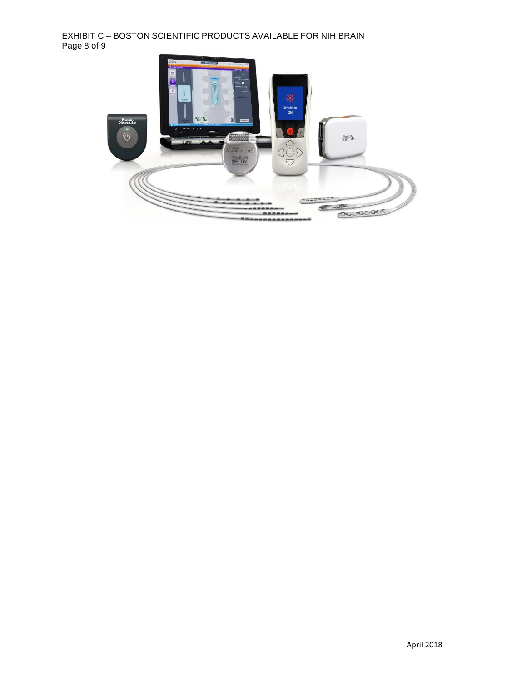# EXHIBIT C – BOSTON SCIENTIFIC PRODUCTS AVAILABLE FOR NIH BRAIN Page 8 of 9

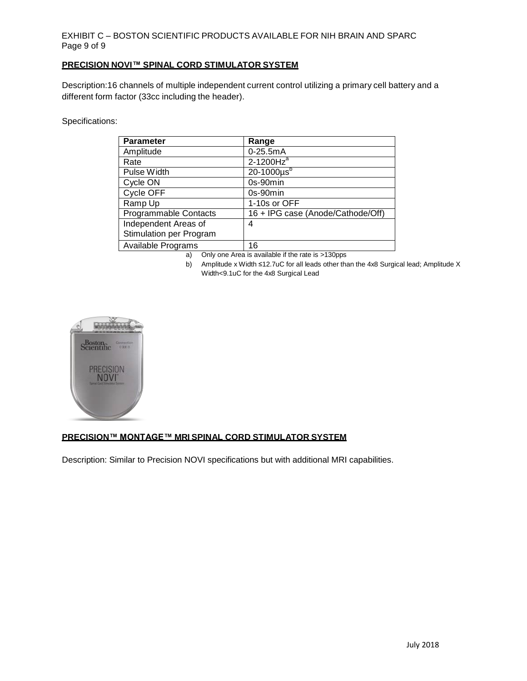# EXHIBIT C – BOSTON SCIENTIFIC PRODUCTS AVAILABLE FOR NIH BRAIN AND SPARC Page 9 of 9

#### **PRECISION NOVI™ SPINAL CORD STIMULATOR SYSTEM**

Description:16 channels of multiple independent current control utilizing a primary cell battery and a different form factor (33cc including the header).

Specifications:

| <b>Parameter</b>        | Range                             |
|-------------------------|-----------------------------------|
| Amplitude               | $0 - 25.5mA$                      |
| Rate                    | $2-1200Hza$                       |
| Pulse Width             | $20 - 1000 \mu s^b$               |
| Cycle ON                | 0s-90min                          |
| Cycle OFF               | 0s-90min                          |
| Ramp Up                 | 1-10s or OFF                      |
| Programmable Contacts   | 16 + IPG case (Anode/Cathode/Off) |
| Independent Areas of    | 4                                 |
| Stimulation per Program |                                   |
| Available Programs      | 16                                |

a) Only one Area is available if the rate is >130pps

b) Amplitude x Width ≤12.7uC for all leads other than the 4x8 Surgical lead; Amplitude X Width<9.1uC for the 4x8 Surgical Lead



# **PRECISION™ MONTAGE™ MRI SPINAL CORD STIMULATOR SYSTEM**

Description: Similar to Precision NOVI specifications but with additional MRI capabilities.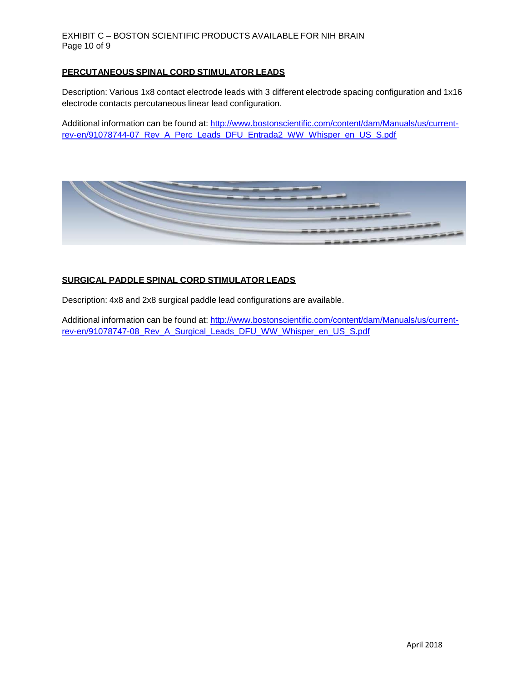#### EXHIBIT C – BOSTON SCIENTIFIC PRODUCTS AVAILABLE FOR NIH BRAIN Page 10 of 9

#### **PERCUTANEOUS SPINAL CORD STIMULATOR LEADS**

Description: Various 1x8 contact electrode leads with 3 different electrode spacing configuration and 1x16 electrode contacts percutaneous linear lead configuration.

Additional information can be found at: [http://www.bostonscientific.com/content/dam/Manuals/us/current](http://www.bostonscientific.com/content/dam/Manuals/us/current-rev-en/91078744-07_Rev_A_Perc_Leads_DFU_Entrada2_WW_Whisper_en_US_S.pdf)[rev-en/91078744-07\\_Rev\\_A\\_Perc\\_Leads\\_DFU\\_Entrada2\\_WW\\_Whisper\\_en\\_US\\_S.pdf](http://www.bostonscientific.com/content/dam/Manuals/us/current-rev-en/91078744-07_Rev_A_Perc_Leads_DFU_Entrada2_WW_Whisper_en_US_S.pdf)



#### **SURGICAL PADDLE SPINAL CORD STIMULATOR LEADS**

Description: 4x8 and 2x8 surgical paddle lead configurations are available.

Additional information can be found at: [http://www.bostonscientific.com/content/dam/Manuals/us/current](http://www.bostonscientific.com/content/dam/Manuals/us/current-rev-en/91078747-08_Rev_A_Surgical_Leads_DFU_WW_Whisper_en_US_S.pdf)[rev-en/91078747-08\\_Rev\\_A\\_Surgical\\_Leads\\_DFU\\_WW\\_Whisper\\_en\\_US\\_S.pdf](http://www.bostonscientific.com/content/dam/Manuals/us/current-rev-en/91078747-08_Rev_A_Surgical_Leads_DFU_WW_Whisper_en_US_S.pdf)